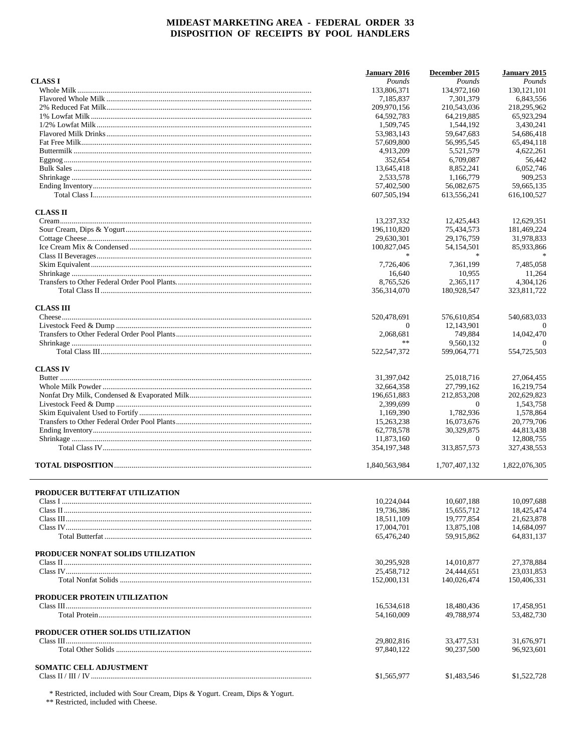|                                    | <b>January 2016</b> | December 2015 | <b>January 2015</b> |
|------------------------------------|---------------------|---------------|---------------------|
| <b>CLASS I</b>                     | Pounds              | Pounds        | Pounds              |
|                                    | 133,806,371         | 134,972,160   | 130, 121, 101       |
|                                    | 7,185,837           | 7.301.379     | 6.843.556           |
|                                    | 209,970,156         | 210,543,036   | 218,295,962         |
|                                    | 64.592.783          | 64.219.885    | 65,923,294          |
|                                    | 1,509,745           | 1,544,192     | 3,430,241           |
|                                    | 53,983,143          | 59.647.683    | 54,686,418          |
|                                    | 57,609,800          | 56,995,545    | 65,494,118          |
|                                    | 4,913,209           | 5,521,579     | 4,622,261           |
|                                    | 352,654             | 6,709,087     | 56,442              |
|                                    | 13,645,418          | 8,852,241     | 6,052,746           |
|                                    | 2,533,578           | 1,166,779     | 909,253             |
|                                    | 57,402,500          | 56,082,675    | 59,665,135          |
|                                    | 607,505,194         | 613,556,241   | 616,100,527         |
| <b>CLASS II</b>                    |                     |               |                     |
|                                    | 13,237,332          | 12,425,443    | 12,629,351          |
|                                    | 196,110,820         | 75,434,573    | 181,469,224         |
|                                    | 29,630,301          | 29,176,759    | 31,978,833          |
|                                    | 100,827,045         | 54,154,501    | 85,933,866          |
|                                    |                     |               |                     |
|                                    | 7,726,406           | 7,361,199     | 7.485.058           |
|                                    | 16,640              | 10,955        | 11,264              |
|                                    | 8,765,526           | 2,365,117     | 4,304,126           |
|                                    | 356,314,070         | 180,928,547   | 323,811,722         |
| <b>CLASS III</b>                   |                     |               |                     |
|                                    | 520,478,691         | 576,610,854   | 540,683,033         |
|                                    | $\Omega$            | 12,143,901    | $\Omega$            |
|                                    | 2,068,681           | 749.884       | 14,042,470          |
|                                    | **                  | 9,560,132     | $\Omega$            |
|                                    | 522,547,372         | 599,064,771   | 554,725,503         |
|                                    |                     |               |                     |
| <b>CLASS IV</b>                    | 31,397,042          | 25,018,716    |                     |
|                                    |                     |               | 27,064,455          |
|                                    | 32,664,358          | 27,799,162    | 16,219,754          |
|                                    | 196,651,883         | 212,853,208   | 202,629,823         |
|                                    | 2,399,699           | $\Omega$      | 1,543,758           |
|                                    | 1,169,390           | 1,782,936     | 1,578,864           |
|                                    | 15,263,238          | 16,073,676    | 20,779,706          |
|                                    | 62,778,578          | 30,329,875    | 44,813,438          |
|                                    | 11,873,160          | $\theta$      | 12,808,755          |
|                                    | 354,197,348         | 313,857,573   | 327,438,553         |
|                                    | 1,840,563,984       | 1,707,407,132 | 1,822,076,305       |
|                                    |                     |               |                     |
| PRODUCER BUTTERFAT UTILIZATION     | 10,224,044          | 10,607,188    | 10,097,688          |
|                                    | 19,736,386          | 15,655,712    | 18,425,474          |
|                                    | 18,511,109          | 19,777,854    | 21,623,878          |
|                                    | 17,004,701          | 13,875,108    | 14,684,097          |
|                                    | 65,476,240          | 59,915,862    | 64,831,137          |
|                                    |                     |               |                     |
| PRODUCER NONFAT SOLIDS UTILIZATION |                     |               |                     |
|                                    | 30,295,928          | 14,010,877    | 27,378,884          |
|                                    | 25,458,712          | 24,444,651    | 23,031,853          |
|                                    | 152,000,131         | 140,026,474   | 150,406,331         |
| PRODUCER PROTEIN UTILIZATION       |                     |               |                     |
|                                    | 16,534,618          | 18,480,436    | 17,458,951          |
|                                    | 54,160,009          | 49,788,974    | 53,482,730          |
| PRODUCER OTHER SOLIDS UTILIZATION  |                     |               |                     |
|                                    | 29,802,816          | 33,477,531    | 31,676,971          |
|                                    | 97,840,122          | 90,237,500    | 96,923,601          |
|                                    |                     |               |                     |
| <b>SOMATIC CELL ADJUSTMENT</b>     |                     |               |                     |
|                                    | \$1,565,977         | \$1,483,546   | \$1,522,728         |
|                                    |                     |               |                     |

 $^*$  Restricted, included with Sour Cream, Dips & Yogurt. Cream, Dips & Yogurt.  $^{**}$  Restricted, included with Cheese.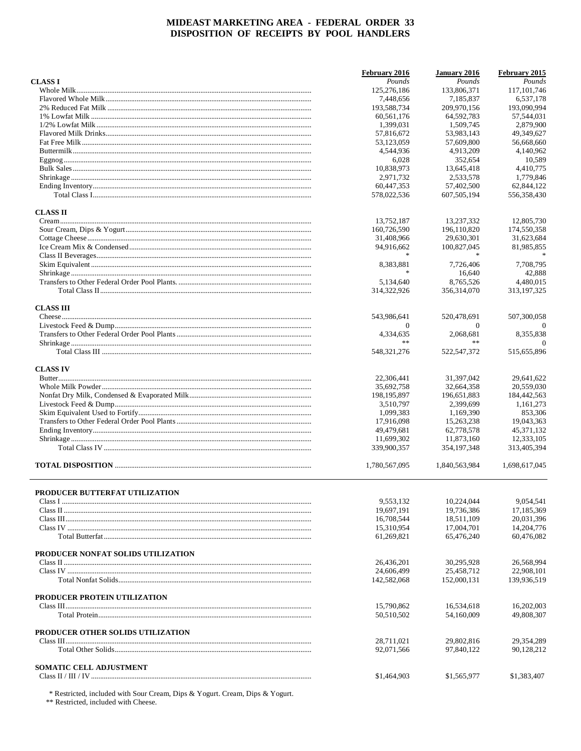|                                    | <b>February 2016</b> | January 2016  | February 2015 |
|------------------------------------|----------------------|---------------|---------------|
| <b>CLASS I</b>                     | Pounds               | Pounds        | Pounds        |
|                                    | 125,276,186          | 133,806,371   | 117, 101, 746 |
|                                    | 7.448.656            | 7,185,837     | 6.537.178     |
|                                    | 193,588,734          | 209,970,156   | 193,090,994   |
|                                    | 60,561,176           | 64,592,783    | 57.544.031    |
|                                    | 1,399,031            | 1,509,745     | 2,879,900     |
|                                    | 57,816,672           | 53,983,143    | 49,349,627    |
|                                    | 53,123,059           | 57,609,800    | 56,668,660    |
|                                    | 4,544,936            | 4,913,209     | 4,140,962     |
|                                    | 6,028                | 352.654       | 10,589        |
|                                    | 10,838,973           | 13,645,418    | 4,410,775     |
|                                    | 2,971,732            | 2,533,578     | 1,779,846     |
|                                    | 60,447,353           | 57,402,500    | 62,844,122    |
|                                    | 578,022,536          | 607,505,194   | 556,358,430   |
| <b>CLASS II</b>                    |                      |               |               |
|                                    | 13,752,187           | 13,237,332    | 12,805,730    |
|                                    | 160,726,590          | 196,110,820   | 174,550,358   |
|                                    | 31,408,966           | 29,630,301    | 31,623,684    |
|                                    | 94,916,662           | 100,827,045   | 81,985,855    |
|                                    |                      |               |               |
|                                    | 8,383,881            | 7.726.406     | 7,708,795     |
|                                    | $\ast$               | 16,640        | 42,888        |
|                                    | 5,134,640            | 8,765,526     | 4.480.015     |
|                                    | 314,322,926          | 356,314,070   | 313, 197, 325 |
| <b>CLASS III</b>                   |                      |               |               |
|                                    | 543,986,641          | 520,478,691   | 507,300,058   |
|                                    | $\overline{0}$       | $\mathbf{0}$  | $\Omega$      |
|                                    | 4,334,635            | 2,068,681     | 8,355,838     |
|                                    |                      |               | $\Omega$      |
|                                    | 548, 321, 276        | 522,547,372   | 515,655,896   |
| <b>CLASS IV</b>                    |                      |               |               |
|                                    | 22,306,441           | 31,397,042    | 29,641,622    |
|                                    | 35,692,758           | 32,664,358    | 20,559,030    |
|                                    | 198, 195, 897        | 196,651,883   | 184,442,563   |
|                                    | 3,510,797            | 2,399,699     | 1,161,273     |
|                                    | 1,099,383            | 1,169,390     | 853,306       |
|                                    | 17,916,098           | 15,263,238    | 19,043,363    |
|                                    | 49,479,681           | 62,778,578    | 45, 371, 132  |
|                                    | 11,699,302           | 11,873,160    | 12,333,105    |
|                                    | 339,900,357          | 354,197,348   | 313,405,394   |
|                                    | 1,780,567,095        | 1,840,563,984 | 1,698,617,045 |
|                                    |                      |               |               |
| PRODUCER BUTTERFAT UTILIZATION     | 9,553,132            | 10,224,044    | 9,054,541     |
|                                    | 19,697,191           | 19,736,386    | 17,185,369    |
|                                    | 16,708,544           | 18,511,109    | 20,031,396    |
|                                    | 15,310,954           | 17,004,701    | 14,204,776    |
|                                    | 61,269,821           | 65,476,240    | 60,476,082    |
| PRODUCER NONFAT SOLIDS UTILIZATION |                      |               |               |
|                                    | 26,436,201           | 30,295,928    | 26,568,994    |
|                                    | 24,606,499           | 25,458,712    | 22,908,101    |
|                                    | 142,582,068          | 152,000,131   | 139,936,519   |
|                                    |                      |               |               |
| PRODUCER PROTEIN UTILIZATION       |                      |               |               |
|                                    | 15,790,862           | 16,534,618    | 16,202,003    |
|                                    | 50,510,502           | 54,160,009    | 49,808,307    |
| PRODUCER OTHER SOLIDS UTILIZATION  |                      |               |               |
|                                    | 28,711,021           | 29,802,816    | 29,354,289    |
|                                    | 92,071,566           | 97,840,122    | 90,128,212    |
| <b>SOMATIC CELL ADJUSTMENT</b>     |                      |               |               |
|                                    | \$1,464,903          | \$1,565,977   | \$1,383,407   |
|                                    |                      |               |               |

 $\,^*$  Restricted, included with Sour Cream, Dips & Yogurt. Cream, Dips & Yogurt.  $\,^*$  Restricted, included with Cheese.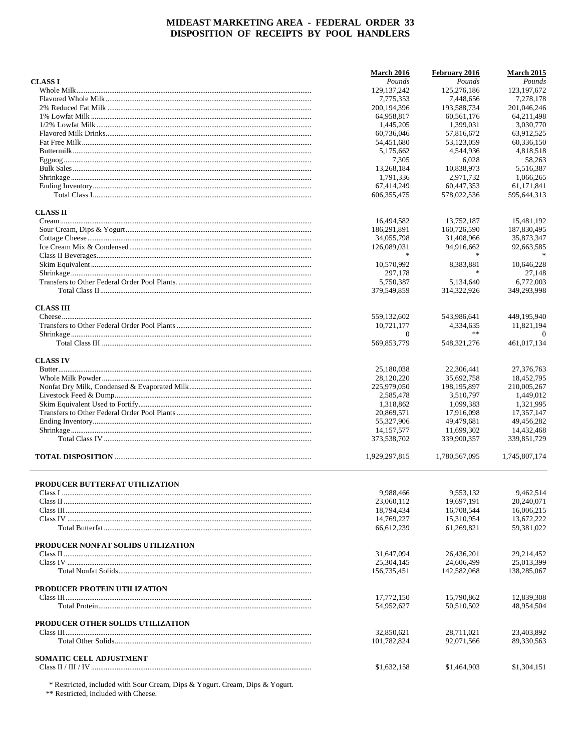|                                     | <b>March 2016</b>         | February 2016            | <b>March 2015</b>        |
|-------------------------------------|---------------------------|--------------------------|--------------------------|
| <b>CLASS I</b>                      | Pounds                    | Pounds                   | Pounds                   |
|                                     | 129, 137, 242             | 125,276,186              | 123, 197, 672            |
|                                     | 7,775,353                 | 7.448.656                | 7,278,178                |
|                                     | 200,194,396               | 193,588,734              | 201,046,246              |
|                                     | 64,958,817                | 60,561,176               | 64,211,498               |
|                                     | 1,445,205                 | 1,399,031                | 3,030,770                |
|                                     | 60,736,046                | 57,816,672               | 63,912,525               |
|                                     | 54,451,680                | 53,123,059               | 60,336,150               |
|                                     | 5,175,662                 | 4,544,936                | 4,818,518                |
|                                     | 7,305                     | 6,028                    | 58,263                   |
|                                     | 13,268,184                | 10,838,973               | 5,516,387                |
|                                     | 1,791,336                 | 2,971,732                | 1,066,265                |
|                                     | 67,414,249                | 60,447,353               | 61,171,841               |
|                                     | 606, 355, 475             | 578,022,536              | 595,644,313              |
| <b>CLASS II</b>                     |                           |                          |                          |
|                                     | 16,494,582                | 13,752,187               | 15,481,192               |
|                                     | 186,291,891               | 160,726,590              | 187,830,495              |
|                                     | 34,055,798                | 31,408,966               | 35,873,347               |
|                                     | 126,089,031               | 94,916,662               | 92,663,585               |
|                                     |                           |                          |                          |
|                                     | 10,570,992                | 8,383,881                | 10,646,228               |
|                                     | 297,178                   | $\ast$                   | 27,148                   |
|                                     | 5,750,387                 | 5,134,640                | 6,772,003                |
|                                     | 379,549,859               | 314,322,926              | 349,293,998              |
|                                     |                           |                          |                          |
| <b>CLASS III</b>                    | 559,132,602               | 543,986,641              | 449,195,940              |
|                                     | 10,721,177                | 4,334,635                | 11,821,194               |
|                                     | $\overline{0}$            | $\ast$                   | $\Omega$                 |
|                                     | 569,853,779               | 548, 321, 276            | 461,017,134              |
| <b>CLASS IV</b>                     |                           |                          |                          |
|                                     | 25,180,038                | 22,306,441               | 27,376,763               |
|                                     | 28,120,220                | 35,692,758               | 18,452,795               |
|                                     | 225,979,050               | 198,195,897              | 210,005,267              |
|                                     | 2,585,478                 | 3,510,797                | 1,449,012                |
|                                     | 1,318,862                 | 1,099,383                | 1,321,995                |
|                                     | 20,869,571                | 17,916,098               | 17,357,147               |
|                                     | 55,327,906                | 49,479,681               | 49,456,282               |
|                                     | 14, 157, 577              | 11,699,302               | 14,432,468               |
|                                     | 373,538,702               | 339,900,357              | 339,851,729              |
|                                     |                           |                          |                          |
|                                     | 1,929,297,815             | 1,780,567,095            | 1,745,807,174            |
| PRODUCER BUTTERFAT UTILIZATION      |                           |                          |                          |
|                                     | 9,988,466                 | 9,553,132                | 9,462,514                |
|                                     | 23,060,112                | 19,697,191               | 20,240,071               |
|                                     | 18,794,434                | 16,708,544               | 16,006,215               |
|                                     | 14,769,227                | 15,310,954               | 13,672,222               |
|                                     | 66,612,239                | 61,269,821               | 59,381,022               |
| PRODUCER NONFAT SOLIDS UTILIZATION  |                           |                          |                          |
|                                     | 31,647,094                | 26,436,201               | 29,214,452               |
|                                     | 25,304,145                | 24,606,499               | 25,013,399               |
|                                     | 156,735,451               | 142,582,068              | 138,285,067              |
|                                     |                           |                          |                          |
| <b>PRODUCER PROTEIN UTILIZATION</b> | 17,772,150                | 15,790,862               | 12,839,308               |
|                                     | 54,952,627                | 50,510,502               | 48.954.504               |
|                                     |                           |                          |                          |
| PRODUCER OTHER SOLIDS UTILIZATION   |                           |                          |                          |
|                                     | 32,850,621<br>101,782,824 | 28,711,021<br>92,071,566 | 23,403,892<br>89,330,563 |
|                                     |                           |                          |                          |
| SOMATIC CELL ADJUSTMENT             |                           |                          |                          |
|                                     | \$1,632,158               | \$1,464,903              | \$1,304,151              |
|                                     |                           |                          |                          |

\* Restricted, included with Sour Cream, Dips & Yogurt. Cream, Dips & Yogurt.

\*\* Restricted, included with Cheese.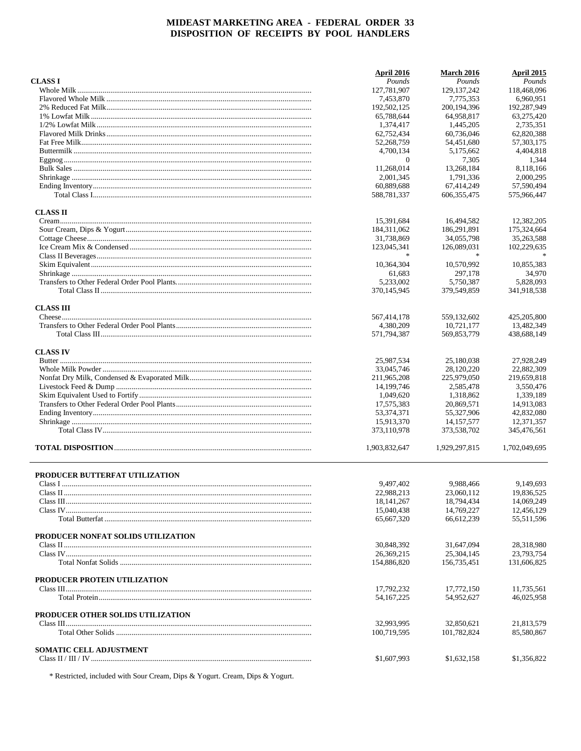|                                    | April 2016                | <b>March 2016</b>           | April 2015                |
|------------------------------------|---------------------------|-----------------------------|---------------------------|
| <b>CLASS I</b>                     | Pounds                    | Pounds                      | Pounds                    |
|                                    | 127,781,907               | 129, 137, 242               | 118,468,096               |
|                                    | 7,453,870                 | 7,775,353                   | 6.960.951                 |
|                                    | 192,502,125               | 200,194,396                 | 192,287,949               |
|                                    | 65,788,644                | 64,958,817                  | 63,275,420                |
|                                    | 1,374,417                 | 1,445,205                   | 2,735,351                 |
|                                    | 62,752,434                | 60,736,046                  | 62,820,388                |
|                                    | 52,268,759                | 54,451,680                  | 57,303,175                |
|                                    | 4,700,134                 | 5,175,662                   | 4,404,818                 |
|                                    | $\Omega$                  | 7,305                       | 1,344                     |
|                                    | 11,268,014                | 13,268,184                  | 8,118,166                 |
|                                    | 2,001,345                 | 1,791,336                   | 2,000,295                 |
|                                    | 60,889,688<br>588,781,337 | 67,414,249<br>606, 355, 475 | 57,590,494<br>575,966,447 |
| <b>CLASS II</b>                    |                           |                             |                           |
|                                    | 15,391,684                | 16,494,582                  | 12,382,205                |
|                                    | 184, 311, 062             | 186,291,891                 | 175,324,664               |
|                                    | 31,738,869                | 34,055,798                  | 35,263,588                |
|                                    | 123,045,341               | 126,089,031                 | 102,229,635               |
|                                    |                           |                             |                           |
|                                    | 10,364,304                | 10,570,992                  | 10,855,383                |
|                                    | 61,683                    | 297,178                     | 34,970                    |
|                                    | 5,233,002                 | 5,750,387                   | 5,828,093                 |
|                                    | 370.145.945               | 379,549,859                 | 341,918,538               |
| <b>CLASS III</b>                   |                           |                             |                           |
|                                    | 567,414,178               | 559,132,602                 | 425,205,800               |
|                                    | 4,380,209                 | 10,721,177                  | 13,482,349                |
|                                    | 571,794,387               | 569,853,779                 | 438,688,149               |
| <b>CLASS IV</b>                    |                           |                             |                           |
|                                    | 25,987,534                | 25,180,038                  | 27,928,249                |
|                                    | 33,045,746                | 28,120,220                  | 22,882,309                |
|                                    | 211,965,208               | 225,979,050                 | 219,659,818               |
|                                    | 14, 199, 746              | 2,585,478                   | 3,550,476                 |
|                                    | 1,049,620                 | 1,318,862                   | 1,339,189                 |
|                                    | 17,575,383                | 20,869,571                  | 14,913,083                |
|                                    | 53,374,371                | 55,327,906                  | 42,832,080                |
|                                    | 15,913,370                | 14, 157, 577                | 12,371,357                |
|                                    | 373,110,978               | 373,538,702                 | 345,476,561               |
|                                    | 1,903,832,647             | 1,929,297,815               | 1,702,049,695             |
| PRODUCER BUTTERFAT UTILIZATION     |                           |                             |                           |
|                                    | 9,497,402                 | 9,988,466                   | 9,149,693                 |
|                                    | 22,988,213                | 23,060,112                  | 19,836,525                |
|                                    | 18, 141, 267              | 18,794,434                  | 14,069,249                |
|                                    | 15,040,438                | 14,769,227                  | 12,456,129                |
|                                    | 65,667,320                | 66,612,239                  | 55,511,596                |
| PRODUCER NONFAT SOLIDS UTILIZATION |                           |                             |                           |
|                                    | 30,848,392                | 31,647,094                  | 28,318,980                |
|                                    | 26,369,215                | 25,304,145                  | 23,793,754                |
|                                    | 154,886,820               | 156,735,451                 | 131,606,825               |
| PRODUCER PROTEIN UTILIZATION       |                           |                             |                           |
|                                    | 17,792,232                | 17,772,150                  | 11,735,561                |
|                                    | 54.167.225                | 54,952,627                  | 46,025,958                |
| PRODUCER OTHER SOLIDS UTILIZATION  |                           |                             |                           |
|                                    | 32,993,995                | 32,850,621                  | 21,813,579                |
|                                    | 100,719,595               | 101,782,824                 | 85,580,867                |
| SOMATIC CELL ADJUSTMENT            | \$1,607,993               | \$1,632,158                 | \$1,356,822               |
|                                    |                           |                             |                           |

<br>\* Restricted, included with Sour Cream, Dips & Yogurt. Cream, Dips & Yogurt.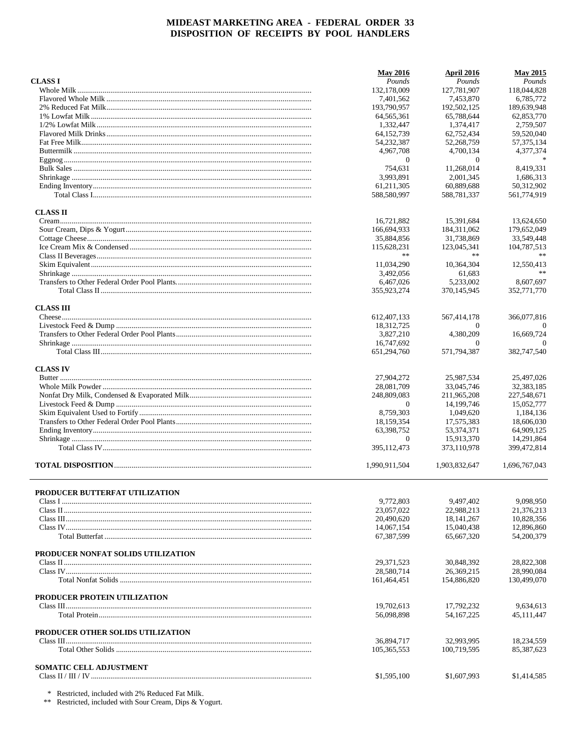|                                    | <b>May 2016</b> | <b>April 2016</b> | <b>May 2015</b> |
|------------------------------------|-----------------|-------------------|-----------------|
| <b>CLASS I</b>                     | Pounds          | Pounds            | Pounds          |
|                                    | 132,178,009     | 127,781,907       | 118,044,828     |
|                                    | 7.401.562       | 7.453.870         | 6,785,772       |
|                                    | 193,790,957     | 192,502,125       | 189,639,948     |
|                                    | 64, 565, 361    | 65,788,644        | 62,853,770      |
|                                    | 1,332,447       | 1,374,417         | 2.759.507       |
|                                    | 64, 152, 739    | 62,752,434        | 59,520,040      |
|                                    | 54,232,387      | 52,268,759        | 57, 375, 134    |
|                                    | 4,967,708       | 4,700,134         | 4,377,374       |
|                                    | $\theta$        | $\Omega$          |                 |
|                                    | 754,631         | 11,268,014        | 8,419,331       |
|                                    | 3.993.891       | 2,001,345         | 1,686,313       |
|                                    | 61, 211, 305    | 60,889,688        | 50,312,902      |
|                                    | 588,580,997     | 588,781,337       | 561,774,919     |
| <b>CLASS II</b>                    |                 |                   |                 |
|                                    | 16,721,882      | 15,391,684        | 13,624,650      |
|                                    | 166,694,933     | 184,311,062       | 179,652,049     |
|                                    | 35,884,856      | 31,738,869        | 33,549,448      |
|                                    | 115,628,231     | 123,045,341       | 104,787,513     |
|                                    | **              | **                |                 |
|                                    | 11,034,290      | 10,364,304        | 12,550,413      |
|                                    | 3,492,056       | 61,683            | **              |
|                                    | 6,467,026       | 5,233,002         | 8.607.697       |
|                                    | 355,923,274     | 370,145,945       | 352,771,770     |
|                                    |                 |                   |                 |
| <b>CLASS III</b>                   |                 |                   |                 |
|                                    | 612, 407, 133   | 567,414,178       | 366,077,816     |
|                                    | 18,312,725      | 0                 | $\Omega$        |
|                                    | 3,827,210       | 4.380.209         | 16,669,724      |
|                                    | 16,747,692      | 0                 | $\Omega$        |
|                                    | 651,294,760     | 571,794,387       | 382,747,540     |
| <b>CLASS IV</b>                    |                 |                   |                 |
|                                    | 27,904,272      | 25,987,534        | 25,497,026      |
|                                    | 28,081,709      | 33,045,746        | 32,383,185      |
|                                    | 248,809,083     | 211,965,208       | 227,548,671     |
|                                    | $\theta$        | 14,199,746        | 15,052,777      |
|                                    | 8,759,303       | 1,049,620         | 1,184,136       |
|                                    | 18,159,354      | 17,575,383        | 18,606,030      |
|                                    | 63,398,752      | 53,374,371        | 64,909,125      |
|                                    | $\theta$        | 15,913,370        | 14,291,864      |
|                                    | 395,112,473     | 373,110,978       | 399,472,814     |
|                                    | 1,990,911,504   | 1,903,832,647     | 1,696,767,043   |
|                                    |                 |                   |                 |
| PRODUCER BUTTERFAT UTILIZATION     |                 |                   |                 |
|                                    | 9,772,803       | 9.497.402         | 9,098,950       |
|                                    | 23,057,022      | 22,988,213        | 21,376,213      |
|                                    | 20,490,620      | 18, 141, 267      | 10,828,356      |
|                                    | 14,067,154      | 15,040,438        | 12,896,860      |
|                                    | 67,387,599      | 65,667,320        | 54,200,379      |
| PRODUCER NONFAT SOLIDS UTILIZATION |                 |                   |                 |
|                                    | 29,371,523      | 30,848,392        | 28,822,308      |
|                                    | 28,580,714      | 26,369,215        | 28,990,084      |
|                                    | 161,464,451     | 154,886,820       | 130,499,070     |
|                                    |                 |                   |                 |
| PRODUCER PROTEIN UTILIZATION       |                 |                   |                 |
|                                    | 19,702,613      | 17,792,232        | 9,634,613       |
|                                    | 56,098,898      | 54, 167, 225      | 45,111,447      |
| PRODUCER OTHER SOLIDS UTILIZATION  |                 |                   |                 |
|                                    | 36,894,717      | 32,993,995        | 18,234,559      |
|                                    | 105,365,553     | 100,719,595       | 85,387,623      |
| <b>SOMATIC CELL ADJUSTMENT</b>     |                 |                   |                 |
|                                    | \$1,595,100     | \$1,607,993       | \$1,414,585     |
|                                    |                 |                   |                 |

 $\,^*$  Restricted, included with 2% Reduced Fat Milk.<br>  $\,^*$  Restricted, included with Sour Cream, Dips & Yogurt.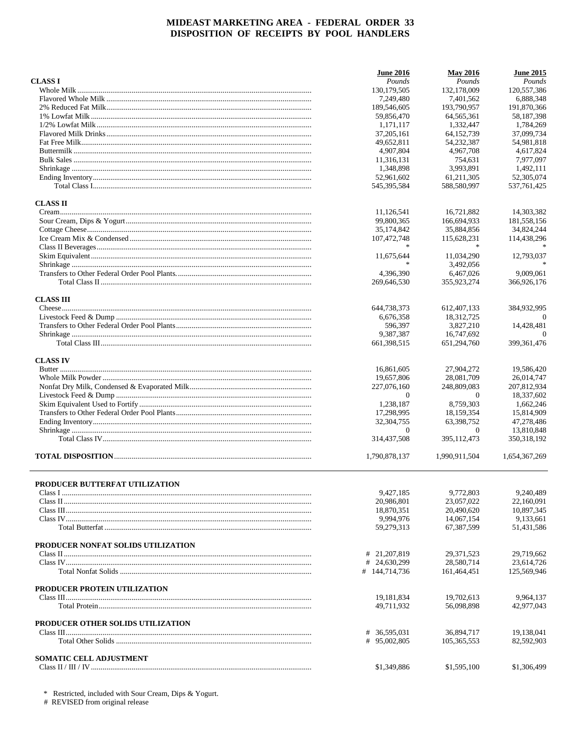|                                    | <b>June 2016</b>             | <b>May 2016</b>             | <b>June 2015</b>         |
|------------------------------------|------------------------------|-----------------------------|--------------------------|
| <b>CLASS I</b>                     | Pounds                       | Pounds                      | Pounds                   |
|                                    | 130, 179, 505                | 132,178,009                 | 120,557,386              |
|                                    | 7,249,480                    | 7,401,562                   | 6.888.348                |
|                                    | 189,546,605                  | 193,790,957                 | 191,870,366              |
|                                    | 59,856,470                   | 64.565.361                  | 58,187,398               |
|                                    | 1.171.117                    | 1,332,447                   | 1,784,269                |
|                                    | 37, 205, 161                 | 64.152.739                  | 37,099,734               |
|                                    | 49,652,811                   | 54, 232, 387                | 54,981,818               |
|                                    | 4,907,804<br>11,316,131      | 4,967,708<br>754,631        | 4,617,824<br>7,977,097   |
|                                    | 1,348,898                    | 3.993.891                   | 1,492,111                |
|                                    | 52,961,602                   | 61,211,305                  | 52,305,074               |
|                                    | 545, 395, 584                | 588,580,997                 | 537, 761, 425            |
| <b>CLASS II</b>                    |                              |                             |                          |
|                                    | 11,126,541                   | 16,721,882                  | 14,303,382               |
|                                    | 99,800,365                   | 166,694,933                 | 181,558,156              |
|                                    | 35, 174, 842                 | 35,884,856                  | 34,824,244               |
|                                    | 107,472,748                  | 115,628,231                 | 114,438,296              |
|                                    |                              |                             |                          |
|                                    | 11,675,644                   | 11,034,290                  | 12,793,037               |
|                                    |                              | 3,492,056                   |                          |
|                                    | 4,396,390                    | 6,467,026                   | 9,009,061                |
|                                    | 269,646,530                  | 355,923,274                 | 366,926,176              |
| <b>CLASS III</b>                   |                              |                             |                          |
|                                    | 644,738,373                  | 612,407,133<br>18,312,725   | 384,932,995<br>$\Omega$  |
|                                    | 6,676,358<br>596,397         | 3,827,210                   | 14,428,481               |
|                                    | 9,387,387                    | 16,747,692                  | $\Omega$                 |
|                                    | 661,398,515                  | 651,294,760                 | 399, 361, 476            |
| <b>CLASS IV</b>                    |                              |                             |                          |
|                                    | 16,861,605                   | 27,904,272                  | 19,586,420               |
|                                    | 19,657,806                   | 28,081,709                  | 26,014,747               |
|                                    | 227,076,160                  | 248,809,083                 | 207,812,934              |
|                                    | $\mathbf{0}$                 | $\theta$                    | 18,337,602               |
|                                    | 1,238,187                    | 8,759,303                   | 1,662,246                |
|                                    | 17,298,995                   | 18,159,354                  | 15,814,909               |
|                                    | 32, 304, 755                 | 63,398,752                  | 47,278,486               |
|                                    | $\mathbf{0}$                 | $\theta$                    | 13,810,848               |
|                                    | 314,437,508                  | 395,112,473                 | 350, 318, 192            |
|                                    | 1,790,878,137                | 1,990,911,504               | 1,654,367,269            |
| PRODUCER BUTTERFAT UTILIZATION     |                              |                             |                          |
|                                    | 9,427,185                    | 9,772,803                   | 9,240,489                |
|                                    | 20,986,801                   | 23.057.022                  | 22,160,091               |
|                                    | 18,870,351                   | 20,490,620                  | 10,897,345               |
|                                    | 9,994,976                    | 14,067,154                  | 9,133,661                |
|                                    | 59,279,313                   | 67.387.599                  | 51,431,586               |
| PRODUCER NONFAT SOLIDS UTILIZATION |                              |                             |                          |
|                                    | # 21,207,819                 | 29,371,523                  | 29,719,662               |
|                                    | # 24,630,299                 | 28,580,714                  | 23,614,726               |
|                                    | # 144,714,736                | 161,464,451                 | 125,569,946              |
| PRODUCER PROTEIN UTILIZATION       |                              |                             |                          |
|                                    | 19,181,834                   | 19,702,613                  | 9,964,137                |
|                                    | 49,711,932                   | 56,098,898                  | 42,977,043               |
| PRODUCER OTHER SOLIDS UTILIZATION  |                              |                             |                          |
|                                    | # 36,595,031<br># 95,002,805 | 36,894,717<br>105, 365, 553 | 19,138,041<br>82,592,903 |
| <b>SOMATIC CELL ADJUSTMENT</b>     |                              |                             |                          |
|                                    | \$1,349,886                  | \$1,595,100                 | \$1,306,499              |
|                                    |                              |                             |                          |

 $^\ast$  Restricted, included with Sour Cream, Dips & Yogurt.<br>  $\#$  REVISED from original release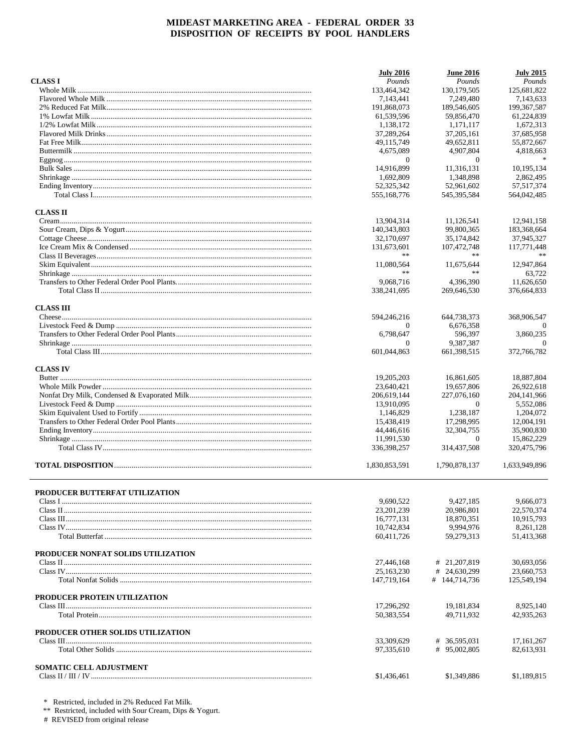|                                    | <b>July 2016</b>          | <b>June 2016</b>          | <b>July 2015</b> |
|------------------------------------|---------------------------|---------------------------|------------------|
| <b>CLASS I</b>                     | Pounds                    | Pounds                    | Pounds           |
|                                    | 133,464,342               | 130,179,505               | 125,681,822      |
|                                    | 7,143,441                 | 7,249,480                 | 7,143,633        |
|                                    | 191,868,073               | 189,546,605               | 199, 367, 587    |
|                                    | 61,539,596                | 59.856.470                | 61,224,839       |
|                                    | 1,138,172                 | 1,171,117                 | 1,672,313        |
|                                    | 37,289,264                | 37, 205, 161              | 37,685,958       |
|                                    | 49,115,749                | 49,652,811                | 55,872,667       |
|                                    | 4,675,089                 | 4,907,804                 | 4,818,663        |
|                                    | $\Omega$                  | $\Omega$                  |                  |
|                                    | 14,916,899                | 11,316,131                | 10,195,134       |
|                                    |                           | 1,348,898                 | 2,862,495        |
|                                    | 1,692,809                 |                           | 57.517.374       |
|                                    | 52,325,342<br>555,168,776 | 52,961,602<br>545,395,584 |                  |
|                                    |                           |                           | 564,042,485      |
| <b>CLASS II</b>                    |                           |                           |                  |
|                                    | 13,904,314                | 11,126,541                | 12,941,158       |
|                                    | 140,343,803               | 99,800,365                | 183,368,664      |
|                                    | 32,170,697                | 35,174,842                | 37,945,327       |
|                                    | 131,673,601               | 107,472,748               | 117,771,448      |
|                                    | **                        | **                        |                  |
|                                    | 11,080,564                | 11,675,644                | 12,947,864       |
|                                    | **                        |                           | 63.722           |
|                                    | 9.068.716                 | 4,396,390                 | 11,626,650       |
|                                    | 338,241,695               | 269,646,530               | 376,664,833      |
|                                    |                           |                           |                  |
| <b>CLASS III</b>                   |                           |                           |                  |
|                                    | 594,246,216               | 644,738,373               | 368,906,547      |
|                                    | $\Omega$                  | 6.676.358                 | $\Omega$         |
|                                    | 6.798.647                 | 596,397                   | 3,860,235        |
|                                    | $\Omega$                  | 9,387,387                 | $\Omega$         |
|                                    | 601,044,863               | 661,398,515               | 372,766,782      |
| <b>CLASS IV</b>                    |                           |                           |                  |
|                                    | 19, 205, 203              | 16,861,605                | 18,887,804       |
|                                    | 23,640,421                | 19,657,806                | 26,922,618       |
|                                    | 206,619,144               | 227,076,160               | 204, 141, 966    |
|                                    | 13,910,095                | $\overline{0}$            | 5,552,086        |
|                                    | 1,146,829                 | 1,238,187                 | 1,204,072        |
|                                    | 15,438,419                | 17,298,995                | 12,004,191       |
|                                    |                           | 32,304,755                |                  |
|                                    | 44,446,616                |                           | 35,900,830       |
|                                    | 11,991,530                | 0                         | 15,862,229       |
|                                    | 336,398,257               | 314,437,508               | 320, 475, 796    |
|                                    | 1,830,853,591             | 1,790,878,137             | 1,633,949,896    |
|                                    |                           |                           |                  |
| PRODUCER BUTTERFAT UTILIZATION     |                           |                           |                  |
|                                    | 9.690.522                 | 9,427,185                 | 9.666.073        |
|                                    | 23, 201, 239              | 20,986,801                | 22,570,374       |
|                                    | 16,777,131                | 18,870,351                | 10,915,793       |
|                                    | 10,742,834                | 9,994,976                 | 8,261,128        |
|                                    | 60,411,726                | 59,279,313                | 51,413,368       |
|                                    |                           |                           |                  |
| PRODUCER NONFAT SOLIDS UTILIZATION |                           |                           |                  |
|                                    | 27,446,168                | # 21,207,819              | 30,693,056       |
|                                    | 25,163,230                | # 24,630,299              | 23,660,753       |
|                                    | 147,719,164               | # 144,714,736             | 125,549,194      |
| PRODUCER PROTEIN UTILIZATION       |                           |                           |                  |
|                                    | 17,296,292                | 19.181.834                | 8,925,140        |
|                                    |                           |                           |                  |
|                                    | 50,383,554                | 49,711,932                | 42,935,263       |
| PRODUCER OTHER SOLIDS UTILIZATION  |                           |                           |                  |
|                                    | 33,309,629                | # 36,595,031              | 17, 161, 267     |
|                                    | 97,335,610                | # 95,002,805              | 82,613,931       |
| <b>SOMATIC CELL ADJUSTMENT</b>     |                           |                           |                  |
|                                    | \$1,436,461               | \$1,349,886               | \$1,189,815      |
|                                    |                           |                           |                  |

 $^*$  Restricted, included in 2% Reduced Fat Milk.<br>  $^{**}$  Restricted, included with Sour Cream, Dips & Yogurt.

# REVISED from original release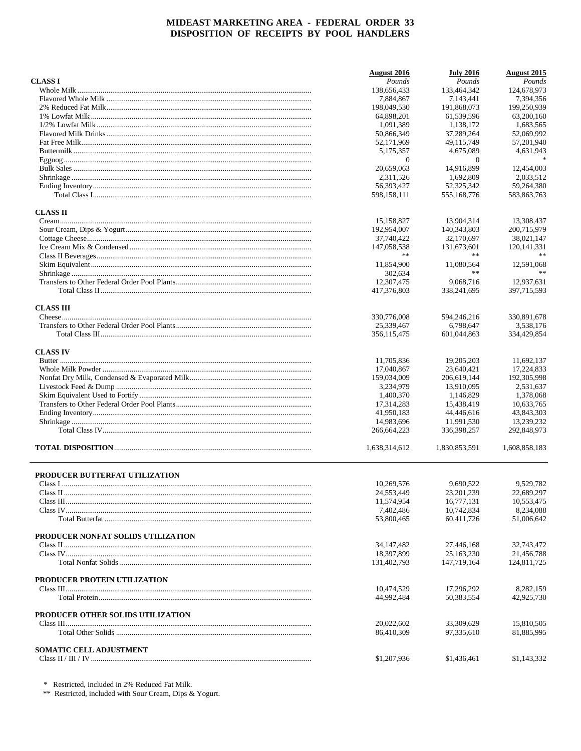|                                    | August 2016              | <b>July 2016</b>         | August 2015              |
|------------------------------------|--------------------------|--------------------------|--------------------------|
| <b>CLASS I</b>                     | Pounds                   | Pounds                   | Pounds                   |
|                                    | 138,656,433              | 133,464,342              | 124,678,973              |
|                                    | 7.884.867                | 7,143,441                | 7,394,356                |
|                                    | 198,049,530              | 191,868,073              | 199,250,939              |
|                                    | 64.898.201               | 61,539,596               | 63,200,160               |
|                                    | 1,091,389                | 1,138,172                | 1,683,565                |
|                                    | 50,866,349               | 37.289.264               | 52,069,992               |
|                                    | 52,171,969               | 49,115,749               | 57,201,940               |
|                                    | 5,175,357                | 4,675,089                | 4,631,943                |
|                                    | $\mathbf{0}$             | $\Omega$                 |                          |
|                                    | 20,659,063               | 14,916,899               | 12,454,003               |
|                                    | 2,311,526                | 1,692,809                | 2,033,512                |
|                                    | 56,393,427               | 52,325,342               | 59,264,380               |
|                                    | 598,158,111              | 555,168,776              | 583,863,763              |
| <b>CLASS II</b>                    |                          |                          |                          |
|                                    | 15,158,827               | 13,904,314               | 13,308,437               |
|                                    | 192,954,007              | 140,343,803              | 200,715,979              |
|                                    | 37,740,422               | 32,170,697               | 38,021,147               |
|                                    | 147,058,538              | 131,673,601              | 120, 141, 331            |
|                                    | **                       | **                       |                          |
|                                    | 11,854,900               | 11,080,564               | 12,591,068               |
|                                    | 302,634                  | **                       | $**$                     |
|                                    | 12,307,475               | 9.068.716                | 12,937,631               |
|                                    | 417.376.803              | 338,241,695              | 397,715,593              |
| <b>CLASS III</b>                   |                          |                          |                          |
|                                    | 330,776,008              | 594,246,216              | 330,891,678              |
|                                    | 25,339,467               | 6,798,647                | 3,538,176                |
|                                    | 356, 115, 475            | 601,044,863              | 334,429,854              |
| <b>CLASS IV</b>                    |                          |                          |                          |
|                                    | 11,705,836               | 19,205,203               | 11,692,137               |
|                                    | 17,040,867               | 23,640,421               | 17,224,833               |
|                                    | 159,034,009              | 206,619,144              | 192, 305, 998            |
|                                    | 3,234,979                | 13,910,095               | 2,531,637                |
|                                    | 1,400,370                | 1,146,829                | 1,378,068                |
|                                    | 17,314,283               | 15,438,419               | 10,633,765               |
|                                    | 41,950,183               | 44,446,616               | 43,843,303               |
|                                    | 14,983,696               | 11,991,530               | 13,239,232               |
|                                    | 266,664,223              | 336,398,257              | 292,848,973              |
|                                    | 1,638,314,612            | 1,830,853,591            | 1,608,858,183            |
| PRODUCER BUTTERFAT UTILIZATION     |                          |                          |                          |
|                                    | 10.269.576               | 9,690,522                | 9,529,782                |
|                                    |                          |                          |                          |
|                                    | 24,553,449<br>11,574,954 | 23,201,239<br>16,777,131 | 22,689,297<br>10,553,475 |
|                                    | 7,402,486                | 10,742,834               | 8,234,088                |
|                                    | 53,800,465               | 60,411,726               | 51,006,642               |
| PRODUCER NONFAT SOLIDS UTILIZATION |                          |                          |                          |
|                                    | 34, 147, 482             | 27,446,168               | 32,743,472               |
|                                    | 18,397,899               | 25,163,230               | 21,456,788               |
|                                    | 131,402,793              | 147,719,164              | 124,811,725              |
| PRODUCER PROTEIN UTILIZATION       |                          |                          |                          |
|                                    | 10,474,529               | 17,296,292               | 8,282,159                |
|                                    | 44,992,484               | 50,383,554               | 42,925,730               |
| PRODUCER OTHER SOLIDS UTILIZATION  |                          |                          |                          |
|                                    | 20,022,602               | 33,309,629               | 15,810,505               |
|                                    | 86,410,309               | 97,335,610               | 81,885,995               |
| SOMATIC CELL ADJUSTMENT            |                          |                          |                          |
|                                    | \$1,207,936              | \$1,436,461              | \$1,143,332              |

\* Restricted, included in 2% Reduced Fat Milk.

\*\* Restricted, included with Sour Cream, Dips & Yogurt.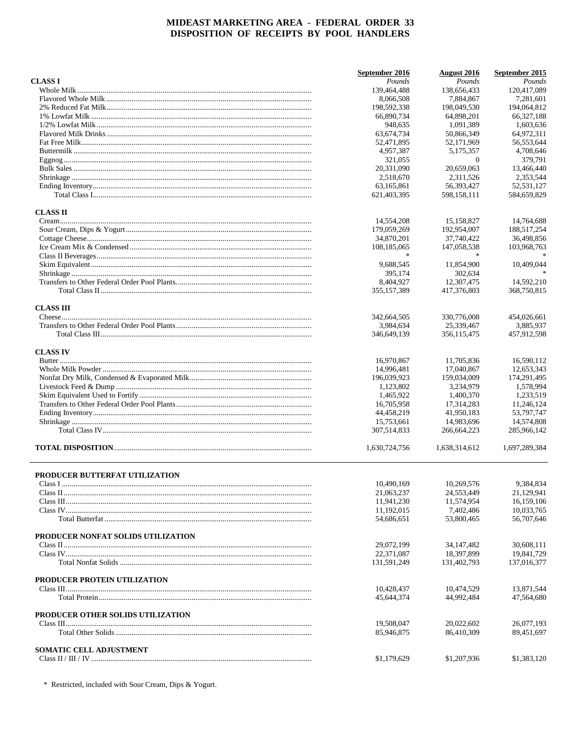|                                    | September 2016 | August 2016   | September 2015           |
|------------------------------------|----------------|---------------|--------------------------|
| <b>CLASS I</b>                     | Pounds         | Pounds        | Pounds                   |
|                                    | 139,464,488    | 138,656,433   | 120,417,089              |
|                                    | 8.066.508      | 7,884,867     | 7,281,601                |
|                                    | 198,592,338    | 198,049,530   | 194,064,812              |
|                                    | 66,890,734     | 64,898,201    | 66,327,188               |
|                                    | 948,635        | 1.091.389     | 1,603,636                |
|                                    | 63,674,734     | 50,866,349    | 64,972,311               |
|                                    | 52,471,895     | 52,171,969    | 56,553,644               |
|                                    | 4,957,387      | 5,175,357     | 4,708,646                |
|                                    | 321,055        | $\theta$      | 379,791                  |
|                                    | 20,331,090     | 20.659.063    | 13,466,440               |
|                                    | 2,518,670      | 2,311,526     | 2,353,544                |
|                                    | 63,165,861     | 56,393,427    | 52,531,127               |
|                                    | 621,403,395    | 598,158,111   | 584,659,829              |
| <b>CLASS II</b>                    |                |               |                          |
|                                    | 14,554,208     | 15,158,827    | 14,764,688               |
|                                    | 179,059,269    | 192,954,007   | 188,517,254              |
|                                    | 34,870,201     | 37,740,422    | 36,498,856               |
|                                    | 108,185,065    | 147,058,538   | 103,968,763              |
|                                    |                |               |                          |
|                                    | 9,688,545      | 11,854,900    | 10,409,044               |
|                                    | 395,174        | 302,634       |                          |
|                                    | 8,404,927      | 12,307,475    | 14,592,210               |
|                                    | 355, 157, 389  | 417,376,803   | 368,750,815              |
|                                    |                |               |                          |
| <b>CLASS III</b>                   |                |               |                          |
|                                    | 342,664,505    | 330,776,008   | 454,026,661              |
|                                    | 3,984,634      | 25,339,467    | 3,885,937                |
|                                    | 346,649,139    | 356,115,475   | 457,912,598              |
| <b>CLASS IV</b>                    |                |               |                          |
|                                    | 16,970,867     | 11,705,836    | 16,590,112               |
|                                    | 14,996,481     | 17,040,867    | 12,653,343               |
|                                    | 196,039,923    | 159,034,009   | 174,291,495              |
|                                    | 1,123,802      | 3,234,979     | 1,578,994                |
|                                    | 1,465,922      | 1,400,370     | 1,233,519                |
|                                    | 16,705,958     | 17,314,283    | 11,246,124               |
|                                    | 44,458,219     | 41,950,183    | 53,797,747               |
|                                    | 15,753,661     | 14,983,696    | 14,574,808               |
|                                    | 307,514,833    | 266,664,223   | 285,966,142              |
|                                    | 1,630,724,756  | 1,638,314,612 | 1,697,289,384            |
|                                    |                |               |                          |
| PRODUCER BUTTERFAT UTILIZATION     | 10,490,169     | 10,269,576    | 9.384.834                |
|                                    |                |               |                          |
|                                    | 21,063,237     | 24,553,449    | 21,129,941<br>16,159,106 |
|                                    | 11,941,230     | 11,574,954    |                          |
|                                    | 11,192,015     | 7,402,486     | 10,033,765               |
|                                    | 54,686,651     | 53,800,465    | 56,707,646               |
| PRODUCER NONFAT SOLIDS UTILIZATION |                |               |                          |
|                                    | 29,072,199     | 34, 147, 482  | 30,608,111               |
|                                    | 22,371,087     | 18,397,899    | 19,841,729               |
|                                    | 131,591,249    | 131,402,793   | 137,016,377              |
| PRODUCER PROTEIN UTILIZATION       |                |               |                          |
|                                    | 10,428,437     | 10,474,529    | 13,871,544               |
|                                    | 45,644,374     | 44,992,484    | 47,564,680               |
| PRODUCER OTHER SOLIDS UTILIZATION  |                |               |                          |
|                                    | 19,508,047     | 20,022,602    | 26,077,193               |
|                                    | 85,946,875     | 86,410,309    | 89,451,697               |
| SOMATIC CELL ADJUSTMENT            |                |               |                          |
|                                    | \$1,179,629    | \$1,207,936   | \$1,383,120              |
|                                    |                |               |                          |

\* Restricted, included with Sour Cream, Dips & Yogurt.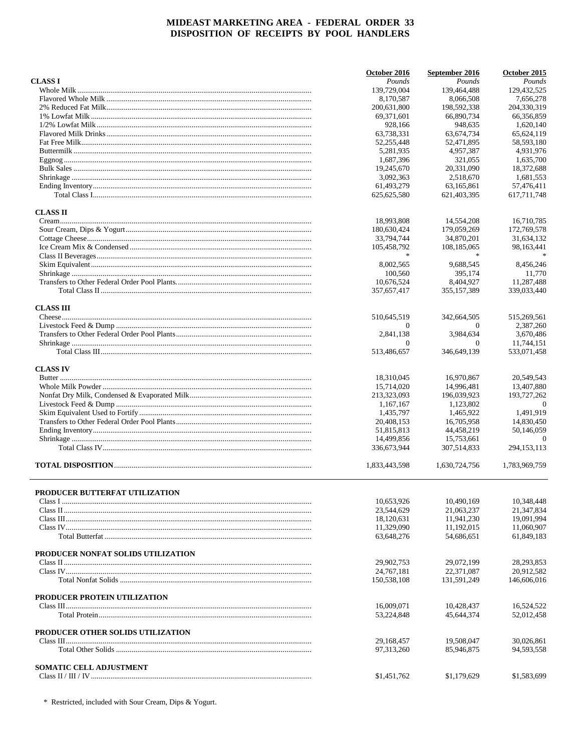|                                    | October 2016  | September 2016 | October 2015  |
|------------------------------------|---------------|----------------|---------------|
| <b>CLASS I</b>                     | Pounds        | Pounds         | Pounds        |
|                                    | 139,729,004   | 139,464,488    | 129,432,525   |
|                                    | 8,170,587     | 8,066,508      | 7,656,278     |
|                                    | 200,631,800   | 198,592,338    | 204,330,319   |
|                                    | 69,371,601    | 66,890,734     | 66,356,859    |
|                                    | 928,166       | 948,635        | 1,620,140     |
|                                    | 63,738,331    | 63.674.734     | 65,624,119    |
|                                    | 52,255,448    | 52,471,895     | 58,593,180    |
|                                    | 5,281,935     | 4,957,387      | 4,931,976     |
|                                    | 1,687,396     | 321,055        | 1,635,700     |
|                                    | 19,245,670    | 20,331,090     | 18,372,688    |
|                                    | 3,092,363     | 2,518,670      | 1,681,553     |
|                                    | 61,493,279    | 63,165,861     | 57,476,411    |
|                                    | 625,625,580   | 621,403,395    | 617,711,748   |
| <b>CLASS II</b>                    |               |                |               |
|                                    | 18,993,808    | 14,554,208     | 16,710,785    |
|                                    | 180,630,424   | 179,059,269    | 172,769,578   |
|                                    | 33,794,744    | 34,870,201     | 31,634,132    |
|                                    | 105,458,792   | 108,185,065    | 98,163,441    |
|                                    |               |                |               |
|                                    | 8,002,565     | 9,688,545      | 8,456,246     |
|                                    | 100,560       | 395,174        | 11,770        |
|                                    | 10,676,524    | 8,404,927      | 11,287,488    |
|                                    | 357,657,417   | 355, 157, 389  | 339,033,440   |
|                                    |               |                |               |
| <b>CLASS III</b>                   |               |                |               |
|                                    | 510,645,519   | 342,664,505    | 515,269,561   |
|                                    | $\Omega$      | $\theta$       | 2,387,260     |
|                                    | 2.841.138     | 3,984,634      | 3.670.486     |
|                                    | $\Omega$      | $\theta$       | 11,744,151    |
|                                    | 513,486,657   | 346,649,139    | 533,071,458   |
| <b>CLASS IV</b>                    |               |                |               |
|                                    | 18,310,045    | 16,970,867     | 20,549,543    |
|                                    | 15,714,020    | 14,996,481     | 13,407,880    |
|                                    | 213,323,093   | 196,039,923    | 193,727,262   |
|                                    | 1,167,167     | 1,123,802      | $\theta$      |
|                                    | 1,435,797     | 1,465,922      | 1,491,919     |
|                                    | 20,408,153    | 16,705,958     | 14,830,450    |
|                                    | 51,815,813    | 44,458,219     | 50,146,059    |
|                                    | 14,499,856    | 15,753,661     | $\Omega$      |
|                                    | 336,673,944   | 307,514,833    | 294,153,113   |
|                                    | 1,833,443,598 | 1,630,724,756  | 1,783,969,759 |
|                                    |               |                |               |
| PRODUCER BUTTERFAT UTILIZATION     |               |                |               |
|                                    | 10,653,926    | 10.490.169     | 10,348,448    |
|                                    | 23,544,629    | 21,063,237     | 21,347,834    |
|                                    |               |                |               |
|                                    | 18,120,631    | 11,941,230     | 19,091,994    |
|                                    | 11,329,090    | 11,192,015     | 11,060,907    |
|                                    | 63,648,276    | 54,686,651     | 61,849,183    |
| PRODUCER NONFAT SOLIDS UTILIZATION |               |                |               |
|                                    | 29,902,753    | 29,072,199     | 28, 293, 853  |
|                                    | 24,767,181    | 22,371,087     | 20,912,582    |
|                                    | 150,538,108   | 131,591,249    | 146,606,016   |
| PRODUCER PROTEIN UTILIZATION       |               |                |               |
|                                    | 16,009,071    | 10,428,437     | 16,524,522    |
|                                    | 53,224,848    | 45,644,374     | 52,012,458    |
|                                    |               |                |               |
| PRODUCER OTHER SOLIDS UTILIZATION  | 29,168,457    | 19,508,047     | 30,026,861    |
|                                    | 97, 313, 260  | 85,946,875     | 94,593,558    |
|                                    |               |                |               |
| <b>SOMATIC CELL ADJUSTMENT</b>     | \$1,451,762   | \$1,179,629    | \$1,583,699   |
|                                    |               |                |               |

\* Restricted, included with Sour Cream, Dips & Yogurt.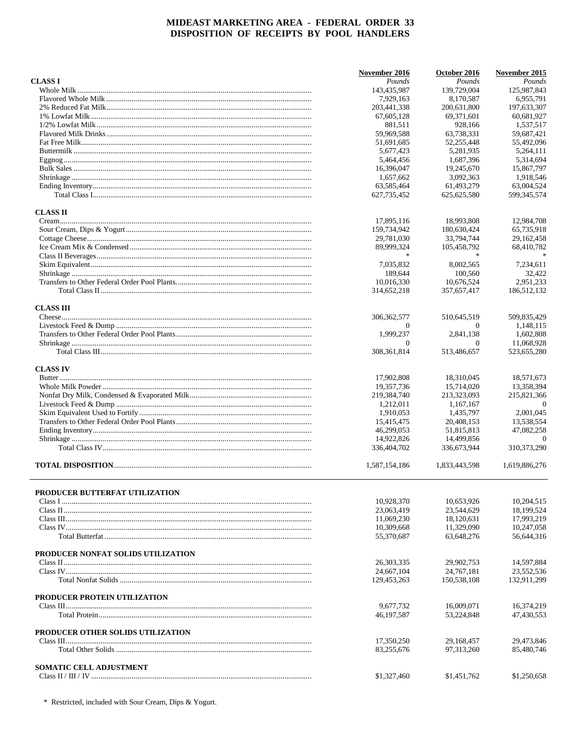|                                    | November 2016 | October 2016  | November 2015 |
|------------------------------------|---------------|---------------|---------------|
| <b>CLASS I</b>                     | Pounds        | Pounds        | Pounds        |
|                                    | 143,435,987   | 139,729,004   | 125,987,843   |
|                                    | 7,929,163     | 8.170.587     | 6,955,791     |
|                                    | 203,441,338   | 200,631,800   | 197,633,307   |
|                                    | 67,605,128    | 69.371.601    | 60,681,927    |
|                                    | 881,511       | 928,166       | 1,537,517     |
|                                    | 59,969,588    | 63,738,331    | 59,687,421    |
|                                    | 51,691,685    | 52,255,448    | 55,492,096    |
|                                    | 5,677,423     | 5,281,935     | 5,264,111     |
|                                    | 5,464,456     | 1,687,396     | 5,314,694     |
|                                    | 16,396,047    | 19,245,670    | 15,867,797    |
|                                    | 1,657,662     | 3,092,363     | 1,918,546     |
|                                    | 63,585,464    | 61,493,279    | 63,004.524    |
|                                    | 627,735,452   | 625,625,580   | 599.345.574   |
| <b>CLASS II</b>                    |               |               |               |
|                                    | 17,895,116    | 18,993,808    | 12,984,708    |
|                                    | 159,734,942   | 180,630,424   | 65,735,918    |
|                                    | 29,781,030    | 33,794,744    | 29,162,458    |
|                                    | 89,999,324    | 105,458,792   | 68,410,782    |
|                                    |               |               |               |
|                                    | 7,035,832     | 8.002.565     | 7,234,611     |
|                                    | 189,644       | 100,560       | 32.422        |
|                                    | 10,016,330    | 10,676,524    | 2,951,233     |
|                                    |               |               |               |
|                                    | 314,652,218   | 357,657,417   | 186,512,132   |
| <b>CLASS III</b>                   |               |               |               |
|                                    | 306, 362, 577 | 510,645,519   | 509,835,429   |
|                                    | $\mathbf{0}$  | $\theta$      | 1,148,115     |
|                                    | 1,999,237     | 2.841.138     | 1,602,808     |
|                                    | $\Omega$      | $\Omega$      | 11,068,928    |
|                                    | 308, 361, 814 | 513,486,657   | 523,655,280   |
| <b>CLASS IV</b>                    |               |               |               |
|                                    | 17,902,808    | 18,310,045    | 18,571,673    |
|                                    | 19,357,736    | 15,714,020    | 13,358,394    |
|                                    | 219,384,740   | 213,323,093   | 215,821,366   |
|                                    | 1,212,011     | 1,167,167     | $\theta$      |
|                                    | 1,910,053     | 1,435,797     | 2,001,045     |
|                                    | 15,415,475    | 20,408,153    | 13,538,554    |
|                                    | 46,299,053    | 51,815,813    | 47,082,258    |
|                                    | 14,922,826    | 14,499,856    | $\theta$      |
|                                    | 336,404,702   | 336,673,944   | 310, 373, 290 |
|                                    | 1,587,154,186 | 1,833,443,598 | 1,619,886,276 |
|                                    |               |               |               |
|                                    |               |               |               |
| PRODUCER BUTTERFAT UTILIZATION     | 10,928,370    | 10,653,926    | 10,204,515    |
|                                    |               |               |               |
|                                    | 23,063,419    | 23,544,629    | 18,199,524    |
|                                    | 11,069,230    | 18,120,631    | 17,993,219    |
|                                    | 10,309,668    | 11,329,090    | 10,247,058    |
|                                    | 55,370,687    | 63,648,276    | 56,644,316    |
| PRODUCER NONFAT SOLIDS UTILIZATION |               |               |               |
|                                    | 26, 303, 335  | 29,902,753    | 14,597,884    |
|                                    | 24,667,104    | 24,767,181    | 23,552,536    |
|                                    | 129,453,263   | 150,538,108   | 132,911,299   |
| PRODUCER PROTEIN UTILIZATION       |               |               |               |
|                                    | 9,677,732     | 16,009,071    | 16,374,219    |
|                                    | 46, 197, 587  | 53,224,848    | 47,430,553    |
|                                    |               |               |               |
| PRODUCER OTHER SOLIDS UTILIZATION  |               |               |               |
|                                    | 17,350,250    | 29,168,457    | 29,473,846    |
|                                    | 83,255,676    | 97, 313, 260  | 85,480,746    |
| <b>SOMATIC CELL ADJUSTMENT</b>     |               |               |               |
|                                    | \$1,327,460   | \$1,451,762   | \$1,250,658   |

\* Restricted, included with Sour Cream, Dips & Yogurt.